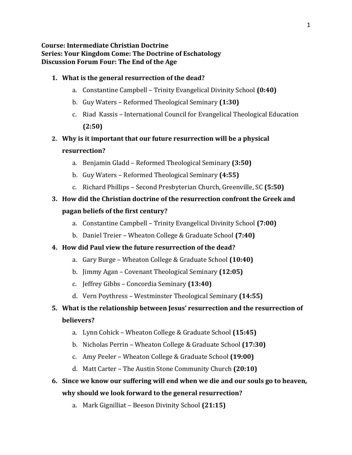#### **Course: Intermediate Christian Doctrine Series: Your Kingdom Come: The Doctrine of Eschatology Discussion Forum Four: The End of the Age**

#### **1. What is the general resurrection of the dead?**

- a. Constantine Campbell Trinity Evangelical Divinity School **(0:40)**
- b. Guy Waters Reformed Theological Seminary **(1:30)**
- c. Riad Kassis International Council for Evangelical Theological Education **(2:50)**
- **2. Why is it important that our future resurrection will be a physical resurrection?**
	- a. Benjamin Gladd Reformed Theological Seminary **(3:50)**
	- b. Guy Waters Reformed Theological Seminary **(4:55)**
	- c. Richard Phillips Second Presbyterian Church, Greenville, SC **(5:50)**

## **3. How did the Christian doctrine of the resurrection confront the Greek and pagan beliefs of the first century?**

- a. Constantine Campbell Trinity Evangelical Divinity School **(7:00)**
- b. Daniel Treier Wheaton College & Graduate School **(7:40)**

#### **4. How did Paul view the future resurrection of the dead?**

- a. Gary Burge Wheaton College & Graduate School **(10:40)**
- b. Jimmy Agan Covenant Theological Seminary **(12:05)**
- c. Jeffrey Gibbs Concordia Seminary **(13:40)**
- d. Vern Poythress Westminster Theological Seminary **(14:55)**

# **5. What is the relationship between Jesus' resurrection and the resurrection of**

#### **believers?**

- a. Lynn Cohick Wheaton College & Graduate School **(15:45)**
- b. Nicholas Perrin Wheaton College & Graduate School **(17:30)**
- c. Amy Peeler Wheaton College & Graduate School **(19:00)**
- d. Matt Carter The Austin Stone Community Church **(20:10)**

## **6. Since we know our suffering will end when we die and our souls go to heaven, why should we look forward to the general resurrection?**

a. Mark Gignilliat – Beeson Divinity School **(21:15)**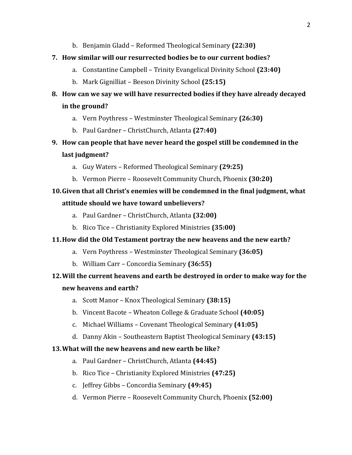b. Benjamin Gladd – Reformed Theological Seminary **(22:30)**

### **7. How similar will our resurrected bodies be to our current bodies?**

- a. Constantine Campbell Trinity Evangelical Divinity School **(23:40)**
- b. Mark Gignilliat Beeson Divinity School **(25:15)**

# **8. How can we say we will have resurrected bodies if they have already decayed in the ground?**

- a. Vern Poythress Westminster Theological Seminary **(26:30)**
- b. Paul Gardner ChristChurch, Atlanta **(27:40)**
- **9. How can people that have never heard the gospel still be condemned in the last judgment?**
	- a. Guy Waters Reformed Theological Seminary **(29:25)**
	- b. Vermon Pierre Roosevelt Community Church, Phoenix **(30:20)**

# **10.Given that all Christ's enemies will be condemned in the final judgment, what attitude should we have toward unbelievers?**

- a. Paul Gardner ChristChurch, Atlanta **(32:00)**
- b. Rico Tice Christianity Explored Ministries **(35:00)**

## **11.How did the Old Testament portray the new heavens and the new earth?**

- a. Vern Poythress Westminster Theological Seminary **(36:05)**
- b. William Carr Concordia Seminary **(36:55)**

# **12.Will the current heavens and earth be destroyed in order to make way for the new heavens and earth?**

- a. Scott Manor Knox Theological Seminary **(38:15)**
- b. Vincent Bacote Wheaton College & Graduate School **(40:05)**
- c. Michael Williams Covenant Theological Seminary **(41:05)**
- d. Danny Akin Southeastern Baptist Theological Seminary **(43:15)**

#### **13.What will the new heavens and new earth be like?**

- a. Paul Gardner ChristChurch, Atlanta **(44:45)**
- b. Rico Tice Christianity Explored Ministries **(47:25)**
- c. Jeffrey Gibbs Concordia Seminary **(49:45)**
- d. Vermon Pierre Roosevelt Community Church, Phoenix **(52:00)**